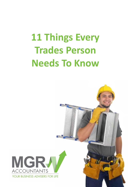# **11 Things Every Trades Person Needs To Know**

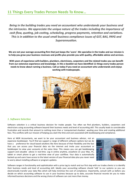# **11 Things Every Trades Person Needs To Know…**

*Being in the building trades you need an accountant who understands your business and the intricacies. We appreciate the unique nature of the trades including the importance of cash flow, quoting, job costing, scheduling, progress payments, retention and variations. This is in addition to the usual small business compliance issues of GST, BAS, PAYG and Superannuation.*

**We are not your average accounting firm that just keeps the 'score'. We specialise in the trades and our mission is to help you grow your business revenues and profits plus provide you with quality, affordable advice and services.**

**With years of experience with builders, plumbers, electricians, carpenters and the related trades you can benefit from our extensive experience and knowledge. In this e-booklet we have identified 11 things every trades person needs to know about running a business. Call us today if you need an accountant who understands and enjoys working with tradespeople.**



#### *1. Software Selection*

Software selection is a critical business decision for trades people. Too often we find plumbers, builders, carpenters and electricians using accounting software beyond their business needs and level of accounting skill. This usually leads to considerable frustration and records that amount to nothing more than a 'computerised shoebox', wasting your time and creating additional fees. This conflicts with our mission of helping you slash the time and cost associated with bookkeeping and compliance.

Here at MGR Accountants, we want to be your accountant and business advisor, not an expensive bookkeeper. You'll find we support a range of different software options but we do have a preference for cloud based solutions like Xero because of their flexibility and the fact that you can access your financial data via the internet and invite your accountant or bookkeeper to view your accounts at the same time. This means you can get bookkeeping support and valuable advice in real-time. Log in online anytime, anywhere on your Mac, PC, tablet or smart phone to get a real-time view of your cashflow. Your data is automatically backed up and users have access to the latest version of your financial data plus you never need to worry about installing software or program updates.



Software ranges in functionality and sophistication with a price tag to match and our first step with our trades clients is to identify their business needs and level of accounting skill. Ideally your accounting software should 'talk' to our systems so you can electronically transfer your data files which will help minimise the cost of compliance. Importantly, consult with us before you decide on which accounting software to use in your business because up to date, accurate financial records let you to make informed business decisions and the wrong choice of software can cost more than money.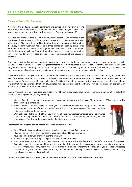# *2. Income Protection Insurance*

Working in the trades is physically demanding and carries a high risk of injury. The obvious question then becomes, "What would happen to you and your family if you were sick or injured and unable to work for a period of time in the business?'.

We often ask clients, "What is their most important asset?" Their response might surprise you (their ute and tools!) but the real answer is YOU. The average Australian will earn over \$2m over their working lives but insurance industry statistics tell us that every working Australian has a one in three chance of becoming disabled for more than three months before turning age 65. While employees may be entitled to a limited amount of sick pay from their employer, workers' compensation policies only cover you for work related injuries, a small percentage of the causes of disability.



If you were sick or injured and unable to earn money from the business how would you service your mortgage, vehicle repayments and fund school fees and living costs? Income Protection insurance is a vital link in providing you and your family with a regular income stream during times of illness or injury. These policies will pay you up to 75% of your income (salary plus super and any other benefits) allowing you to maintain your lifestyle and service your mortgage and other debts.

While most of us will happily insure our car and home, we seem less inclined to insure that very valuable asset, ourselves. Just 55% of Australians have life insurance and 31% have income protection insurance. Even if you do have insurance, you may well be under-insured. Average group life cover falls about \$165,000 short of the amount of the average mortgage. It's probably no surprise that studies have found that 60% of Australian families with dependent children will not be able to support the family on their insurance payout for more than one year.

Income Protection Insurance provides worldwide cover, 24 hours a day, seven days a week. There are a number of variables that will impact on the premium you pay including:

- Monthly Benefit Is the monthly amount of replacement income you will be paid. The maximum is 75% of your monthly gross income (i.e. before tax)
- Benefit Period Is the length of time your replacement income will be paid for any one uninterrupted claim. Benefit periods can be 2 years, 5 years or to age 65 years. The longer the benefit period the higher the premium.
- Waiting Period Is the length of time you must wait before your replacement income will commence. Choices of waiting period are 2 weeks, one month, two months, three months, six months, one year or two years. The shorter the waiting period the higher the premium.

Other factors affecting the cost of Income Protection Insurance include:

- Type Of Work Manual labour will attract a higher premium than office type work
- Male Or Female There are variances between the male and female premiums
- Your Age The older you are the higher the premium
- Smoker People who smoke pay a higher premium than non-smokers
- Pre-Existing Medical Conditions If you have a pre-existing medical condition, this may affect the cost of insurance. Depending upon the actual condition and the severity of it, you may be considered at normal premium rates or the Insurance Underwriters may deem you to be a higher medical risk. Therefore they may offer you a loaded (increased) premium or they may offer you cover at ordinary rates but exclude anything connected to your pre-existing condition. They may also decline your application in full.

Contact us today on how we can assist you to obtain the appropriate level of Income Protection insurance.

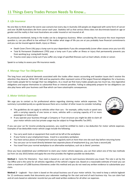# *3. Life Insurance*

No one likes to think about the worst case scenario but every day in Australia 220 people are diagnosed with some form of cancer and over 36,000 Australians die from cancer each year. Statistics tell us that serious illness does not discriminate based on age or gender and the reality is that most Australians are under insured or not insured at all.

As previously mentioned, being in the trades can be a dangerous business. When considering life insurance the most important question is, can you afford to live without it? No matter what stage of life you are at you probably have financial commitments and you can be insured against death, injury or illness:

- Death Cover (Term Life) pays a lump sum to your dependants if you die unexpectedly (cover often ceases once you turn 65)
- Total & Permanent Disablement (TPD) pays a lump sum if you suffer an illness or injury that permanently prevents you from working (e.g. Losing both hands)
- Trauma cover pays a lump sum if you suffer any range of specified illnesses such as heart attack, stroke or cancer.

Speak to us today to assess your life insurance needs.

#### *4. Manage Your Tax Obligations*

The long hours and physical demands associated with the trades often means accounting and taxation issues don't receive the attention they deserve. While GST, BAS and tax payments often represent some of the largest financial obligations for a business, most trades people fail to manage their tax obligations. As a result we find many trades people pay too much tax, miss legislative obligations and expose themselves to substantial fines or interest penalties. Failing to adequately prepare for tax obligations can also play havoc with your business cash flow which can have catastrophic consequences.

#### *5. Motor Vehicle Expenses*

We urge you to contact us for professional advice regarding claiming motor vehicle expenses. This summary is provided purely as a guide because there are a number of other issues to consider including:

- The guidelines do not apply to vehicles other than cars for example, utility trucks or panel vans with a carrying capacity of one tonne or more, vehicles with a carrying capacity of 9 or more passengers or motorcycles.
- If you operate your business through a Company or Trust structure you might be able to claim all your motor vehicle costs but private usage may be subject to Fringe Benefits Tax (FBT).

If you use your car for income producing purposes, you could be entitled to claim a tax deduction for motor vehicle expenses. Examples of tax deductible motor vehicle usage include the following:

- You carry work tools or equipment that could not be left at the workplace
- If your home is your employment base, travel to a secondary workplace
- You have various places of employment and you regularly work at more than one site each day before returning home
- You use your car to travel directly between two separate places of employment (e.g. you have a second job)
- You travel from your normal workplace to an alternative workplace, such as a clients' premises

Once you have established your entitlement to claim your motor vehicle expenses, you can then select one of the two methods (as from 1st July 2015) below and apply the one that provides the highest possible tax deduction.

**Method 1** - Cents Per Kilometre - Your claim is based on a set rate for each business kilometre you travel. The rate is set by the Tax Office and is the same for all vehicles regardless of the vehicle's engine size. Based on a reasonable estimate of travel you can claim a maximum of 5,000 business kilometres under this method and you do not need any written evidence to substantiate your claim.

**Method 2** – Logbook - Your claim is based on the actual business use of your motor vehicle. You need to keep a vehicle logbook for 12 continuous weeks that documents your odometer readings for the start and end of each business trip. You can claim fuel and oil costs based on odometer records but you will need written evidence for all other car expenses.

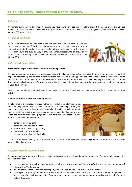# *6. Receipts*

If you make claims in your tax return make sure you have the tax invoices and receipts to support them. This is crucial if you are running a business because you will need to keep all tax invoices for up to 7 years after you lodge your income tax return to claim back the GST input credits.

# *7. Tools of the Trade*

If you are an employee you can claim a tax deduction for tools that cost \$300 or less. Tools costing more than \$300 have to be depreciated and claimed over a number of years as they diminish in value. If you are a self employed trades person (with a turnover of less than \$10m) the 2015-16 Budget provided an instant asset write-off provision for small business write off up to the value of \$20,000 purchased between 12 May 2015 and 30 June 2018. .



## *8. Permits & Registrations*

#### **Are you in the Right Zone and Will you Need a Planning Permit ?**

If you're setting up a new business, undertaking land or building development, or changing the purpose of a property, your first step is to apply for a planning permit from your local council. The planning permit provides evidence that the council has given approval for you to go ahead with the development. Make an appointment with a council planning officer who will take you through the application process. You will be advised on the zoning of your land and any other local planning conditions that apply to your development.

To get contact details for your local council, use the Find Your Local Council search at the Department for Victorian Communities website.

#### **Does your Business Involve any Building Work?**

If building work is involved, particularly structural work, both a planning permit and a building permit will probably be required. The planning permit gives council approval for your development to go ahead, while the building permit gives a registered building surveyor's permission for your building work to go ahead and ensures that building regulations are followed. The most common reasons for building permits are to:

- construct a new building
- demolish all or part of a building
- alter or extend an existing building
- remove all or part of a building
- change the use of an existing building



Contact the municipal building surveyor at your local council. Alternatively, visit the Building Commission website to find a private registered building surveyor.

## *9. Specific Insurances for Builders*

If you are a builder or operate in the construction industry, insurances should be on top of your list. As an example consider the following scenarios :

- You are half way through a \$300,000 project and it burns to the ground. Can you afford to re-purchase the materials? (Construction Works Insurance)
- If you were sued for \$750,000 by a third party who is injured on one of your sites (Public Liability)
- Decking collapses at a party due to incorrect or faulty screws some 5 years after you completed the works. Ten people are injured and they seek compensation from you and potentially any sub-contractors who worked on the job (Products Liability Insurance)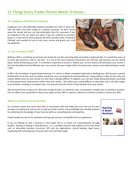# **11 Things Every Trades Person Needs To Know…**

## *10. Sunglasses & Protective Clothing*

Sunglasses are a tax deductible expense provided you have to work outside and didn't buy them simply as a fashion accessory. So don't throw away the receipt and you can also potentially claim for sunscreen if you are exposed to the sun when you work. If you are required to purchase boots or a hard hat for work purposes the ATO considers them 'Protective Clothing' and essential for you to earn your income and grants you a full tax deduction.



#### *11. Do You Have A Will?*

Making a Will is something we all know we should do, but like exercising daily and eating a balanced diet, it's something many of us never get around to until it's too late. It is one of the most important documents you will ever sign because you are 'giving away' almost everything you own. It is therefore important to ensure it reflects your current wishes and distributes your estate in the most beneficial and tax effective way. You must be 18 years of age and be of sound mind, memory and understanding to make a Will.

A Will is the foundation of good estate planning. It's critical to obtain competent legal help in drafting your Will because a poorly drafted Will can be the cause of endless trouble for your surviving family and beneficiaries. Dying without a Will can be costly and creates added stress for your family at a time that is already difficult. In addition, you risk your estate being distributed according to strict government requirements rather than your wishes. This makes your estate difficult to administer and it will take longer to be finalised, resulting in increased costs. You may also lose the choice of who benefits from your estate.

We recommend you review your Will every couple of years, or whenever your circumstances change such as starting a business. Call our office if you would like to discuss any aspect of your Will or require a referral to a Solicitor to draft or review your Will.

#### *What to Look for in an Accountant*

As a business owner you need more than an accountant who just keeps the score. We are not your average accounting firm and we aim to help you build a better, more profitable and valuable business by combining the knowledge of your business with our consulting tools and expertise.

Trades people are one of our specialist client groups and you can benefit from our experience.

If you are looking to start a business in the trades talk to us about our comprehensive 44 page booklet, 'Starting or Buying a Small Business'. It is a valuable resource that explores all the key issues such as alternative business structures, GST and tax registrations, record keeping, legal issues, employing staff and preparing a business plan and cash flow budget.